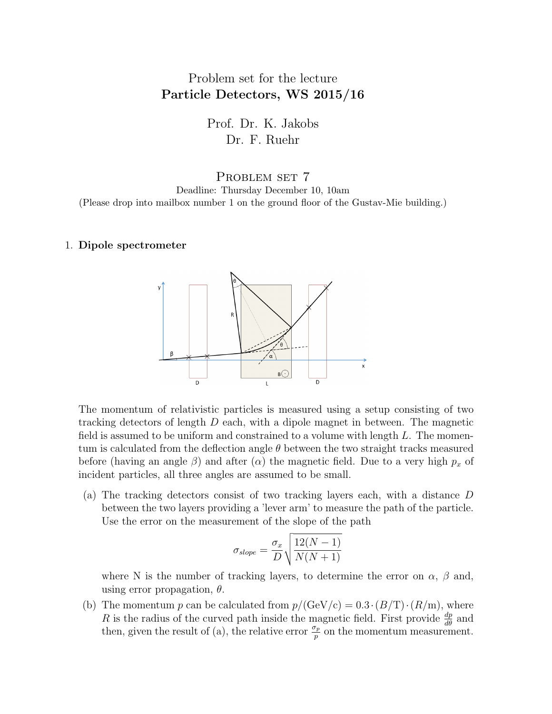## Problem set for the lecture Particle Detectors, WS 2015/16

Prof. Dr. K. Jakobs Dr. F. Ruehr

PROBLEM SET 7 Deadline: Thursday December 10, 10am (Please drop into mailbox number 1 on the ground floor of the Gustav-Mie building.)

## 1. Dipole spectrometer



The momentum of relativistic particles is measured using a setup consisting of two tracking detectors of length  $D$  each, with a dipole magnet in between. The magnetic field is assumed to be uniform and constrained to a volume with length  $L$ . The momentum is calculated from the deflection angle  $\theta$  between the two straight tracks measured before (having an angle  $\beta$ ) and after ( $\alpha$ ) the magnetic field. Due to a very high  $p_x$  of incident particles, all three angles are assumed to be small.

(a) The tracking detectors consist of two tracking layers each, with a distance D between the two layers providing a 'lever arm' to measure the path of the particle. Use the error on the measurement of the slope of the path

$$
\sigma_{slope} = \frac{\sigma_x}{D} \sqrt{\frac{12(N-1)}{N(N+1)}}
$$

where N is the number of tracking layers, to determine the error on  $\alpha$ ,  $\beta$  and, using error propagation,  $\theta$ .

(b) The momentum p can be calculated from  $p/(\text{GeV/c}) = 0.3 \cdot (B/T) \cdot (R/m)$ , where R is the radius of the curved path inside the magnetic field. First provide  $\frac{dp}{d\theta}$  and then, given the result of (a), the relative error  $\frac{\sigma_p}{p}$  on the momentum measurement.